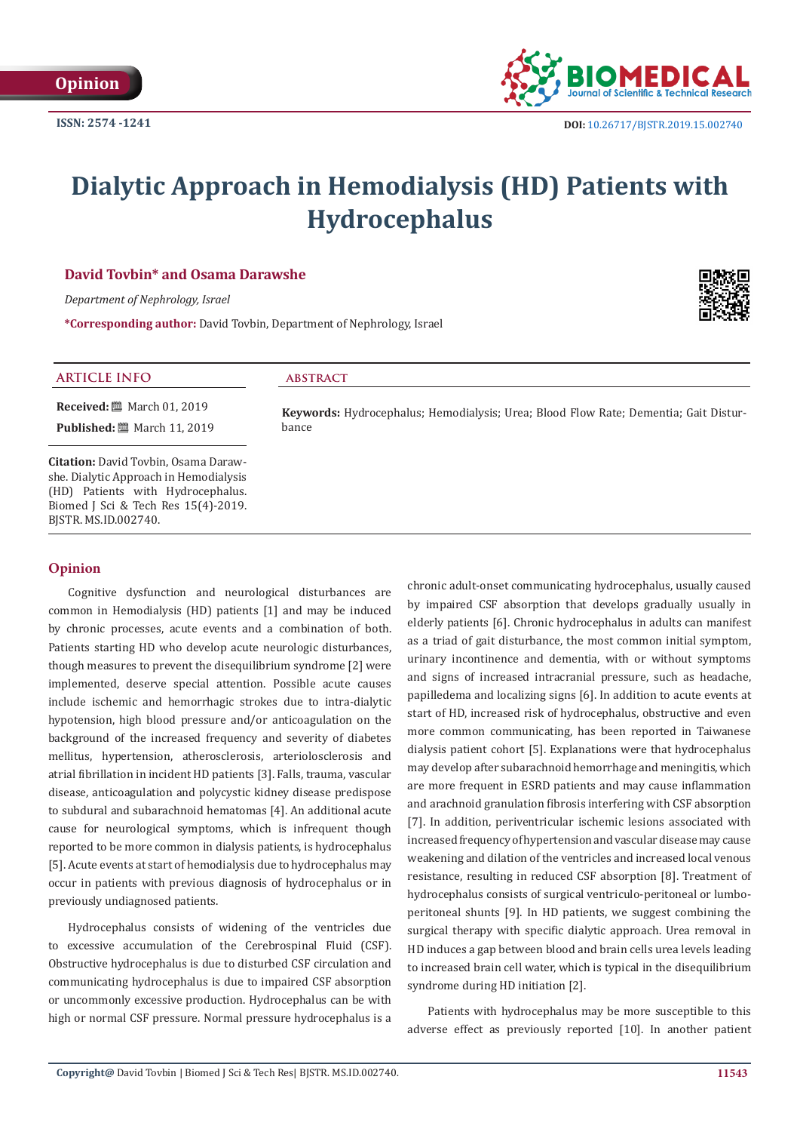

# **Dialytic Approach in Hemodialysis (HD) Patients with Hydrocephalus**

# **David Tovbin\* and Osama Darawshe**

*Department of Nephrology, Israel* 

**\*Corresponding author:** David Tovbin, Department of Nephrology, Israel



## **ARTICLE INFO abstract**

**Received:** March 01, 2019 **Published:** 圖 March 11, 2019

**Citation:** David Tovbin, Osama Darawshe. Dialytic Approach in Hemodialysis (HD) Patients with Hydrocephalus. Biomed J Sci & Tech Res 15(4)-2019. BJSTR. MS.ID.002740.

## **Opinion**

Cognitive dysfunction and neurological disturbances are common in Hemodialysis (HD) patients [1] and may be induced by chronic processes, acute events and a combination of both. Patients starting HD who develop acute neurologic disturbances, though measures to prevent the disequilibrium syndrome [2] were implemented, deserve special attention. Possible acute causes include ischemic and hemorrhagic strokes due to intra-dialytic hypotension, high blood pressure and/or anticoagulation on the background of the increased frequency and severity of diabetes mellitus, hypertension, atherosclerosis, arteriolosclerosis and atrial fibrillation in incident HD patients [3]. Falls, trauma, vascular disease, anticoagulation and polycystic kidney disease predispose to subdural and subarachnoid hematomas [4]. An additional acute cause for neurological symptoms, which is infrequent though reported to be more common in dialysis patients, is hydrocephalus [5]. Acute events at start of hemodialysis due to hydrocephalus may occur in patients with previous diagnosis of hydrocephalus or in previously undiagnosed patients.

Hydrocephalus consists of widening of the ventricles due to excessive accumulation of the Cerebrospinal Fluid (CSF). Obstructive hydrocephalus is due to disturbed CSF circulation and communicating hydrocephalus is due to impaired CSF absorption or uncommonly excessive production. Hydrocephalus can be with high or normal CSF pressure. Normal pressure hydrocephalus is a

bance

**Keywords:** Hydrocephalus; Hemodialysis; Urea; Blood Flow Rate; Dementia; Gait Distur-

chronic adult-onset communicating hydrocephalus, usually caused by impaired CSF absorption that develops gradually usually in elderly patients [6]. Chronic hydrocephalus in adults can manifest as a triad of gait disturbance, the most common initial symptom, urinary incontinence and dementia, with or without symptoms and signs of increased intracranial pressure, such as headache, papilledema and localizing signs [6]. In addition to acute events at start of HD, increased risk of hydrocephalus, obstructive and even more common communicating, has been reported in Taiwanese dialysis patient cohort [5]. Explanations were that hydrocephalus may develop after subarachnoid hemorrhage and meningitis, which are more frequent in ESRD patients and may cause inflammation and arachnoid granulation fibrosis interfering with CSF absorption [7]. In addition, periventricular ischemic lesions associated with increased frequency of hypertension and vascular disease may cause weakening and dilation of the ventricles and increased local venous resistance, resulting in reduced CSF absorption [8]. Treatment of hydrocephalus consists of surgical ventriculo-peritoneal or lumboperitoneal shunts [9]. In HD patients, we suggest combining the surgical therapy with specific dialytic approach. Urea removal in HD induces a gap between blood and brain cells urea levels leading to increased brain cell water, which is typical in the disequilibrium syndrome during HD initiation [2].

Patients with hydrocephalus may be more susceptible to this adverse effect as previously reported [10]. In another patient